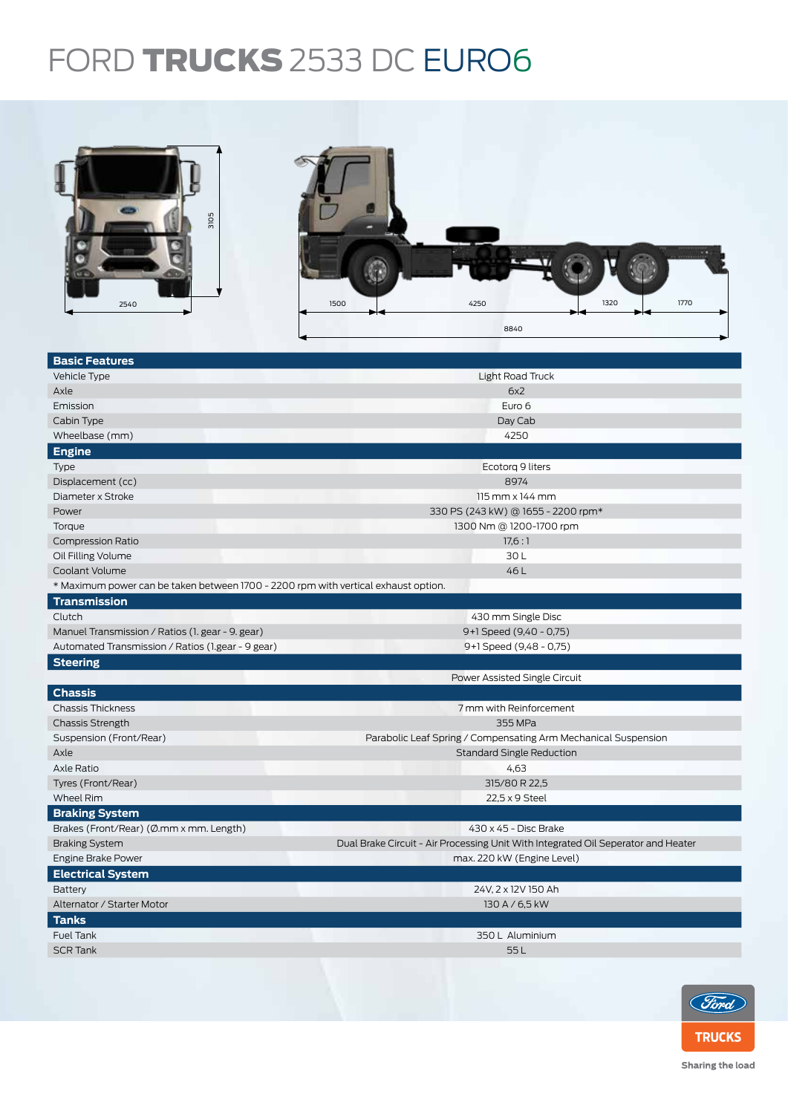## FORD TRUCKS 2533 DC EURO6



| <b>Basic Features</b>                                                              |                                                                                   |  |  |  |  |
|------------------------------------------------------------------------------------|-----------------------------------------------------------------------------------|--|--|--|--|
| Vehicle Type                                                                       | Light Road Truck                                                                  |  |  |  |  |
| Axle                                                                               | 6x2                                                                               |  |  |  |  |
| Emission                                                                           | Euro 6                                                                            |  |  |  |  |
| Cabin Type                                                                         | Day Cab                                                                           |  |  |  |  |
| Wheelbase (mm)                                                                     | 4250                                                                              |  |  |  |  |
| <b>Engine</b>                                                                      |                                                                                   |  |  |  |  |
| <b>Type</b>                                                                        | Ecotorg 9 liters                                                                  |  |  |  |  |
| Displacement (cc)                                                                  | 8974                                                                              |  |  |  |  |
| Diameter x Stroke                                                                  | 115 mm x 144 mm                                                                   |  |  |  |  |
| Power                                                                              | 330 PS (243 kW) @ 1655 - 2200 rpm*                                                |  |  |  |  |
| Torque                                                                             | 1300 Nm @ 1200-1700 rpm                                                           |  |  |  |  |
| <b>Compression Ratio</b>                                                           | 17,6:1                                                                            |  |  |  |  |
| Oil Filling Volume                                                                 | 30L                                                                               |  |  |  |  |
| Coolant Volume                                                                     | 46L                                                                               |  |  |  |  |
| * Maximum power can be taken between 1700 - 2200 rpm with vertical exhaust option. |                                                                                   |  |  |  |  |
| <b>Transmission</b>                                                                |                                                                                   |  |  |  |  |
| Clutch                                                                             | 430 mm Single Disc                                                                |  |  |  |  |
| Manuel Transmission / Ratios (1. gear - 9. gear)                                   | 9+1 Speed (9,40 - 0,75)                                                           |  |  |  |  |
| Automated Transmission / Ratios (1.gear - 9 gear)                                  | 9+1 Speed (9,48 - 0,75)                                                           |  |  |  |  |
| <b>Steering</b>                                                                    |                                                                                   |  |  |  |  |
|                                                                                    | Power Assisted Single Circuit                                                     |  |  |  |  |
| <b>Chassis</b>                                                                     |                                                                                   |  |  |  |  |
| <b>Chassis Thickness</b>                                                           | 7 mm with Reinforcement                                                           |  |  |  |  |
| <b>Chassis Strength</b>                                                            | 355 MPa                                                                           |  |  |  |  |
| Suspension (Front/Rear)                                                            | Parabolic Leaf Spring / Compensating Arm Mechanical Suspension                    |  |  |  |  |
| Axle                                                                               | <b>Standard Single Reduction</b>                                                  |  |  |  |  |
| Axle Ratio                                                                         | 4,63                                                                              |  |  |  |  |
| Tyres (Front/Rear)                                                                 | 315/80 R 22,5                                                                     |  |  |  |  |
| Wheel Rim                                                                          | 22,5 x 9 Steel                                                                    |  |  |  |  |
| <b>Braking System</b>                                                              |                                                                                   |  |  |  |  |
| Brakes (Front/Rear) (Ø.mm x mm. Length)                                            | 430 x 45 - Disc Brake                                                             |  |  |  |  |
| <b>Braking System</b>                                                              | Dual Brake Circuit - Air Processing Unit With Integrated Oil Seperator and Heater |  |  |  |  |
| Engine Brake Power                                                                 | max. 220 kW (Engine Level)                                                        |  |  |  |  |
| <b>Electrical System</b>                                                           |                                                                                   |  |  |  |  |
| <b>Battery</b>                                                                     | 24V, 2 x 12V 150 Ah                                                               |  |  |  |  |
| Alternator / Starter Motor                                                         | 130 A / 6,5 kW                                                                    |  |  |  |  |
| <b>Tanks</b>                                                                       |                                                                                   |  |  |  |  |
| Fuel Tank                                                                          | 350 L Aluminium                                                                   |  |  |  |  |
| <b>SCR Tank</b>                                                                    | 55L                                                                               |  |  |  |  |
|                                                                                    |                                                                                   |  |  |  |  |
|                                                                                    |                                                                                   |  |  |  |  |



Sharing the load